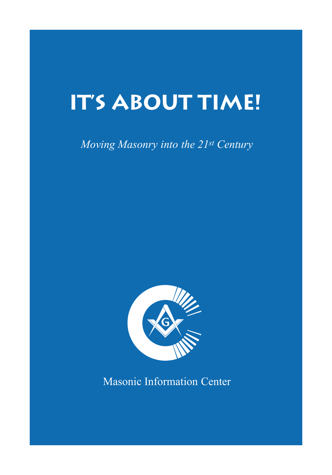# **IT'S ABOUT TIME!**

# *Moving Masonry into the 21st Century*



Masonic Information Center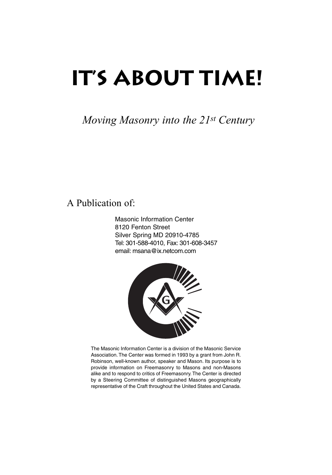# **IT'S ABOUT TIME!**

*Moving Masonry into the 21st Century*

# A Publication of:

Masonic Information Center 8120 Fenton Street Silver Spring MD 20910-4785 Tel: 301-588-4010, Fax: 301-608-3457 email: msana@ix.netcom.com



The Masonic Information Center is a division of the Masonic Service Association. The Center was formed in 1993 by a grant from John R. Robinson, well-known author, speaker and Mason. Its purpose is to provide information on Freemasonry to Masons and non-Masons alike and to respond to critics of Freemasonry. The Center is directed by a Steering Committee of distinguished Masons geographically representative of the Craft throughout the United States and Canada.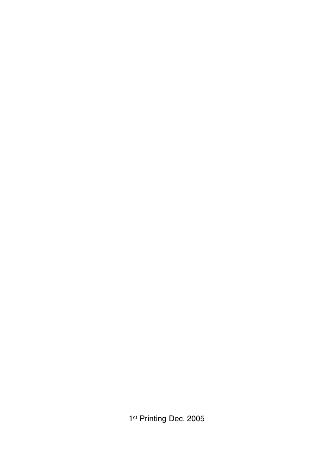1st Printing Dec. 2005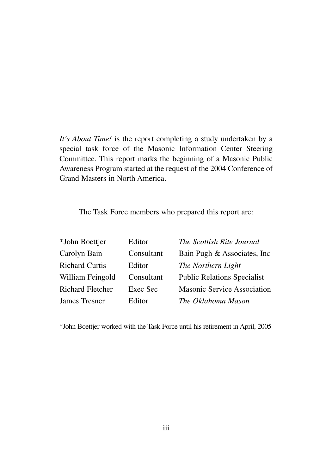*It's About Time!* is the report completing a study undertaken by a special task force of the Masonic Information Center Steering Committee. This report marks the beginning of a Masonic Public Awareness Program started at the request of the 2004 Conference of Grand Masters in North America.

The Task Force members who prepared this report are:

| *John Boettjer          | Editor     | The Scottish Rite Journal          |
|-------------------------|------------|------------------------------------|
| Carolyn Bain            | Consultant | Bain Pugh & Associates, Inc.       |
| <b>Richard Curtis</b>   | Editor     | The Northern Light                 |
| William Feingold        | Consultant | <b>Public Relations Specialist</b> |
| <b>Richard Fletcher</b> | Exec Sec   | <b>Masonic Service Association</b> |
| James Tresner           | Editor     | The Oklahoma Mason                 |

\*John Boettjer worked with the Task Force until his retirement in April, 2005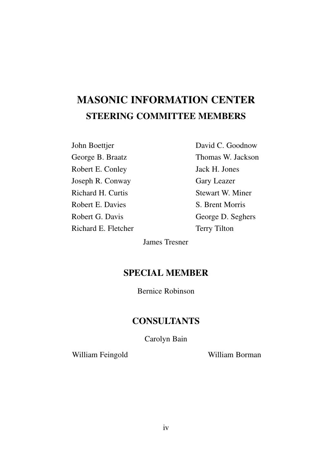# **MASONIC INFORMATION CENTER STEERING COMMITTEE MEMBERS**

John Boettjer George B. Braatz Robert E. Conley Joseph R. Conway Richard H. Curtis Robert E. Davies Robert G. Davis Richard E. Fletcher David C. Goodnow Thomas W. Jackson Jack H. Jones Gary Leazer Stewart W. Miner S. Brent Morris George D. Seghers Terry Tilton

James Tresner

# **SPECIAL MEMBER**

Bernice Robinson

# **CONSULTANTS**

Carolyn Bain

William Feingold William Borman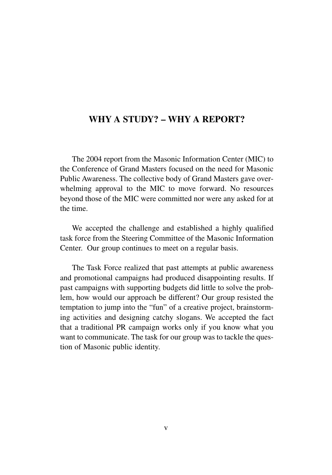# **WHY A STUDY? – WHY A REPORT?**

The 2004 report from the Masonic Information Center (MIC) to the Conference of Grand Masters focused on the need for Masonic Public Awareness. The collective body of Grand Masters gave overwhelming approval to the MIC to move forward. No resources beyond those of the MIC were committed nor were any asked for at the time.

We accepted the challenge and established a highly qualified task force from the Steering Committee of the Masonic Information Center. Our group continues to meet on a regular basis.

The Task Force realized that past attempts at public awareness and promotional campaigns had produced disappointing results. If past campaigns with supporting budgets did little to solve the problem, how would our approach be different? Our group resisted the temptation to jump into the "fun" of a creative project, brainstorming activities and designing catchy slogans. We accepted the fact that a traditional PR campaign works only if you know what you want to communicate. The task for our group was to tackle the question of Masonic public identity.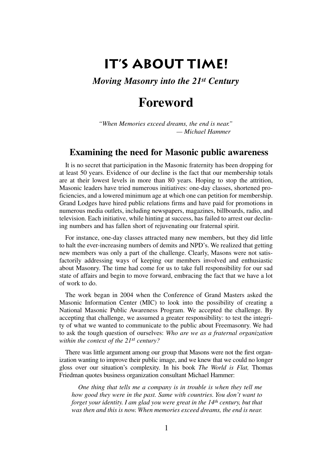# **IT'S ABOUT TIME!**

## *Moving Masonry into the 21st Century*

# **Foreword**

*"When Memories exceed dreams, the end is near." — Michael Hammer*

## **Examining the need for Masonic public awareness**

It is no secret that participation in the Masonic fraternity has been dropping for at least 50 years. Evidence of our decline is the fact that our membership totals are at their lowest levels in more than 80 years. Hoping to stop the attrition, Masonic leaders have tried numerous initiatives: one-day classes, shortened proficiencies, and a lowered minimum age at which one can petition for membership. Grand Lodges have hired public relations firms and have paid for promotions in numerous media outlets, including newspapers, magazines, billboards, radio, and television. Each initiative, while hinting at success, has failed to arrest our declining numbers and has fallen short of rejuvenating our fraternal spirit.

For instance, one-day classes attracted many new members, but they did little to halt the ever-increasing numbers of demits and NPD's. We realized that getting new members was only a part of the challenge. Clearly, Masons were not satisfactorily addressing ways of keeping our members involved and enthusiastic about Masonry. The time had come for us to take full responsibility for our sad state of affairs and begin to move forward, embracing the fact that we have a lot of work to do.

The work began in 2004 when the Conference of Grand Masters asked the Masonic Information Center (MIC) to look into the possibility of creating a National Masonic Public Awareness Program. We accepted the challenge. By accepting that challenge, we assumed a greater responsibility: to test the integrity of what we wanted to communicate to the public about Freemasonry. We had to ask the tough question of ourselves: *Who are we as a fraternal organization within the context of the 21st century?*

There was little argument among our group that Masons were not the first organization wanting to improve their public image, and we knew that we could no longer gloss over our situation's complexity. In his book *The World is Flat,* Thomas Friedman quotes business organization consultant Michael Hammer:

*One thing that tells me a company is in trouble is when they tell me how good they were in the past. Same with countries. You don't want to forget your identity. I am glad you were great in the 14th century, but that was then and this is now. When memories exceed dreams, the end is near.*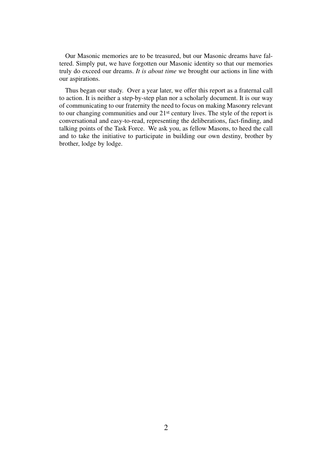Our Masonic memories are to be treasured, but our Masonic dreams have faltered. Simply put, we have forgotten our Masonic identity so that our memories truly do exceed our dreams. *It is about time* we brought our actions in line with our aspirations.

Thus began our study. Over a year later, we offer this report as a fraternal call to action. It is neither a step-by-step plan nor a scholarly document. It is our way of communicating to our fraternity the need to focus on making Masonry relevant to our changing communities and our 21st century lives. The style of the report is conversational and easy-to-read, representing the deliberations, fact-finding, and talking points of the Task Force. We ask you, as fellow Masons, to heed the call and to take the initiative to participate in building our own destiny, brother by brother, lodge by lodge.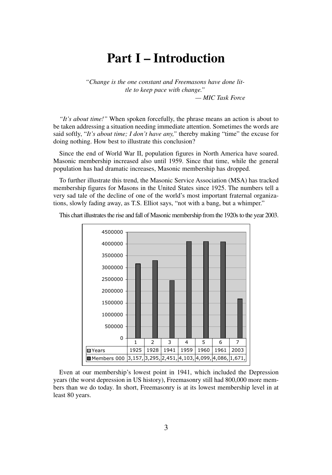# **Part I – Introduction**

*"Change is the one constant and Freemasons have done little to keep pace with change."*

*— MIC Task Force* 

*"It's about time!"* When spoken forcefully, the phrase means an action is about to be taken addressing a situation needing immediate attention. Sometimes the words are said softly, "*It's about time; I don't have any,"* thereby making "time" the excuse for doing nothing. How best to illustrate this conclusion?

Since the end of World War II, population figures in North America have soared. Masonic membership increased also until 1959. Since that time, while the general population has had dramatic increases, Masonic membership has dropped.

To further illustrate this trend, the Masonic Service Association (MSA) has tracked membership figures for Masons in the United States since 1925. The numbers tell a very sad tale of the decline of one of the world's most important fraternal organizations, slowly fading away, as T.S. Elliot says, "not with a bang, but a whimper."



This chart illustrates the rise and fall of Masonic membership from the 1920s to the year 2003.

Even at our membership's lowest point in 1941, which included the Depression years (the worst depression in US history), Freemasonry still had 800,000 more members than we do today. In short, Freemasonry is at its lowest membership level in at least 80 years.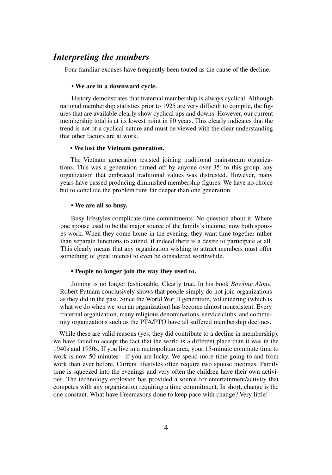### *Interpreting the numbers*

Four familiar excuses have frequently been touted as the cause of the decline.

#### **• We are in a downward cycle.**

History demonstrates that fraternal membership is always cyclical. Although national membership statistics prior to 1925 are very difficult to compile, the figures that are available clearly show cyclical ups and downs. However, our current membership total is at its lowest point in 80 years. This clearly indicates that the trend is not of a cyclical nature and must be viewed with the clear understanding that other factors are at work.

#### **• We lost the Vietnam generation.**

The Vietnam generation resisted joining traditional mainstream organizations. This was a generation turned off by anyone over 35; to this group, any organization that embraced traditional values was distrusted. However, many years have passed producing diminished membership figures. We have no choice but to conclude the problem runs far deeper than one generation.

#### **• We are all so busy.**

Busy lifestyles complicate time commitments. No question about it. Where one spouse used to be the major source of the family's income, now both spouses work. When they come home in the evening, they want time together rather than separate functions to attend, if indeed there is a desire to participate at all. This clearly means that any organization wishing to attract members must offer something of great interest to even be considered worthwhile.

#### **• People no longer join the way they used to.**

Joining is no longer fashionable. Clearly true. In his book *Bowling Alone,* Robert Putnam conclusively shows that people simply do not join organizations as they did in the past. Since the World War II generation, volunteering (which is what we do when we join an organization) has become almost nonexistent. Every fraternal organization, many religious denominations, service clubs, and community organizations such as the PTA/PTO have all suffered membership declines.

While these are valid reasons (yes, they did contribute to a decline in membership), we have failed to accept the fact that the world is a different place than it was in the 1940s and 1950s. If you live in a metropolitan area, your 15-minute commute time to work is now 50 minutes—if you are lucky. We spend more time going to and from work than ever before. Current lifestyles often require two spouse incomes. Family time is squeezed into the evenings and very often the children have their own activities. The technology explosion has provided a source for entertainment/activity that competes with any organization requiring a time commitment. In short, change is the one constant. What have Freemasons done to keep pace with change? Very little!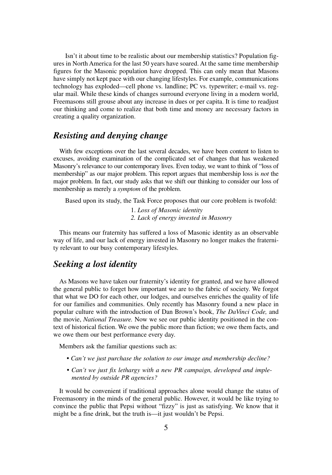Isn't it about time to be realistic about our membership statistics? Population figures in North America for the last 50 years have soared. At the same time membership figures for the Masonic population have dropped. This can only mean that Masons have simply not kept pace with our changing lifestyles. For example, communications technology has exploded—cell phone vs. landline; PC vs. typewriter; e-mail vs. regular mail. While these kinds of changes surround everyone living in a modern world, Freemasons still grouse about any increase in dues or per capita. It is time to readjust our thinking and come to realize that both time and money are necessary factors in creating a quality organization.

## *Resisting and denying change*

With few exceptions over the last several decades, we have been content to listen to excuses, avoiding examination of the complicated set of changes that has weakened Masonry's relevance to our contemporary lives. Even today, we want to think of "loss of membership" as our major problem. This report argues that membership loss is *not* the major problem. In fact, our study asks that we shift our thinking to consider our loss of membership as merely a *symptom* of the problem.

Based upon its study, the Task Force proposes that our core problem is twofold:

1. *Loss of Masonic identity 2. Lack of energy invested in Masonry*

This means our fraternity has suffered a loss of Masonic identity as an observable way of life, and our lack of energy invested in Masonry no longer makes the fraternity relevant to our busy contemporary lifestyles.

## *Seeking a lost identity*

As Masons we have taken our fraternity's identity for granted, and we have allowed the general public to forget how important we are to the fabric of society. We forgot that what we DO for each other, our lodges, and ourselves enriches the quality of life for our families and communities. Only recently has Masonry found a new place in popular culture with the introduction of Dan Brown's book, *The DaVinci Code,* and the movie, *National Treasure.* Now we see our public identity positioned in the context of historical fiction. We owe the public more than fiction; we owe them facts, and we owe them our best performance every day.

Members ask the familiar questions such as:

- *Can't we just purchase the solution to our image and membership decline?*
- *Can't we just fix lethargy with a new PR campaign, developed and implemented by outside PR agencies?*

It would be convenient if traditional approaches alone would change the status of Freemasonry in the minds of the general public. However, it would be like trying to convince the public that Pepsi without "fizzy" is just as satisfying. We know that it might be a fine drink, but the truth is—it just wouldn't be Pepsi.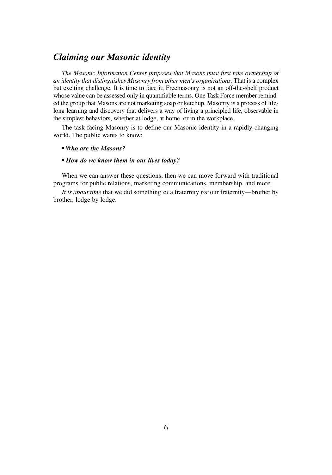## *Claiming our Masonic identity*

*The Masonic Information Center proposes that Masons must first take ownership of an identity that distinguishes Masonry from other men's organizations.* That is a complex but exciting challenge. It is time to face it; Freemasonry is not an off-the-shelf product whose value can be assessed only in quantifiable terms. One Task Force member reminded the group that Masons are not marketing soap or ketchup. Masonry is a process of lifelong learning and discovery that delivers a way of living a principled life, observable in the simplest behaviors, whether at lodge, at home, or in the workplace.

The task facing Masonry is to define our Masonic identity in a rapidly changing world. The public wants to know:

#### *• Who are the Masons?*

#### *• How do we know them in our lives today?*

When we can answer these questions, then we can move forward with traditional programs for public relations, marketing communications, membership, and more.

*It is about time* that we did something *as* a fraternity *for* our fraternity—brother by brother, lodge by lodge.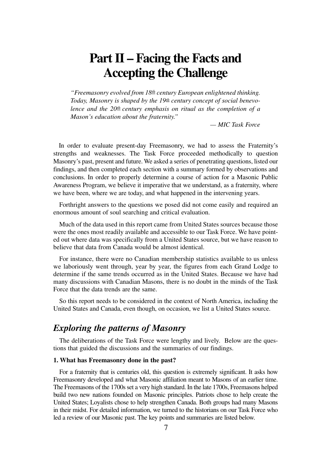# **Part II – Facing the Facts and Accepting the Challenge**

*"Freemasonry evolved from 18th century European enlightened thinking. Today, Masonry is shaped by the 19th century concept of social benevolence and the 20th century emphasis on ritual as the completion of a Mason's education about the fraternity."*

*— MIC Task Force* 

In order to evaluate present-day Freemasonry, we had to assess the Fraternity's strengths and weaknesses. The Task Force proceeded methodically to question Masonry's past, present and future. We asked a series of penetrating questions, listed our findings, and then completed each section with a summary formed by observations and conclusions. In order to properly determine a course of action for a Masonic Public Awareness Program, we believe it imperative that we understand, as a fraternity, where we have been, where we are today, and what happened in the intervening years.

Forthright answers to the questions we posed did not come easily and required an enormous amount of soul searching and critical evaluation.

Much of the data used in this report came from United States sources because those were the ones most readily available and accessible to our Task Force. We have pointed out where data was specifically from a United States source, but we have reason to believe that data from Canada would be almost identical.

For instance, there were no Canadian membership statistics available to us unless we laboriously went through, year by year, the figures from each Grand Lodge to determine if the same trends occurred as in the United States. Because we have had many discussions with Canadian Masons, there is no doubt in the minds of the Task Force that the data trends are the same.

So this report needs to be considered in the context of North America, including the United States and Canada, even though, on occasion, we list a United States source.

# *Exploring the patterns of Masonry*

The deliberations of the Task Force were lengthy and lively. Below are the questions that guided the discussions and the summaries of our findings.

#### **1. What has Freemasonry done in the past?**

For a fraternity that is centuries old, this question is extremely significant. It asks how Freemasonry developed and what Masonic affiliation meant to Masons of an earlier time. The Freemasons of the 1700s set a very high standard. In the late 1700s, Freemasons helped build two new nations founded on Masonic principles. Patriots chose to help create the United States; Loyalists chose to help strengthen Canada. Both groups had many Masons in their midst. For detailed information, we turned to the historians on our Task Force who led a review of our Masonic past. The key points and summaries are listed below.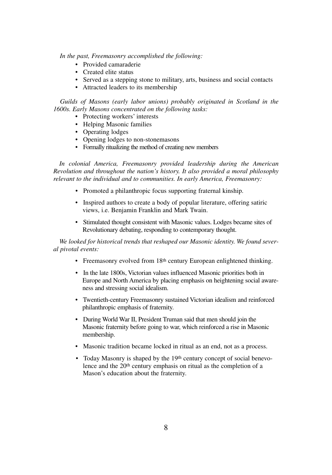*In the past, Freemasonry accomplished the following:*

- Provided camaraderie
- Created elite status
- Served as a stepping stone to military, arts, business and social contacts
- Attracted leaders to its membership

*Guilds of Masons (early labor unions) probably originated in Scotland in the 1600s. Early Masons concentrated on the following tasks:*

- Protecting workers' interests
- Helping Masonic families
- Operating lodges
- Opening lodges to non-stonemasons
- Formally ritualizing the method of creating new members

*In colonial America, Freemasonry provided leadership during the American Revolution and throughout the nation's history. It also provided a moral philosophy relevant to the individual and to communities. In early America, Freemasonry:*

- Promoted a philanthropic focus supporting fraternal kinship.
- Inspired authors to create a body of popular literature, offering satiric views, i.e. Benjamin Franklin and Mark Twain.
- Stimulated thought consistent with Masonic values. Lodges became sites of Revolutionary debating, responding to contemporary thought.

*We looked for historical trends that reshaped our Masonic identity. We found several pivotal events:*

- Freemasonry evolved from 18<sup>th</sup> century European enlightened thinking.
- In the late 1800s, Victorian values influenced Masonic priorities both in Europe and North America by placing emphasis on heightening social awareness and stressing social idealism.
- Twentieth-century Freemasonry sustained Victorian idealism and reinforced philanthropic emphasis of fraternity.
- During World War II, President Truman said that men should join the Masonic fraternity before going to war, which reinforced a rise in Masonic membership.
- Masonic tradition became locked in ritual as an end, not as a process.
- Today Masonry is shaped by the 19<sup>th</sup> century concept of social benevolence and the 20<sup>th</sup> century emphasis on ritual as the completion of a Mason's education about the fraternity.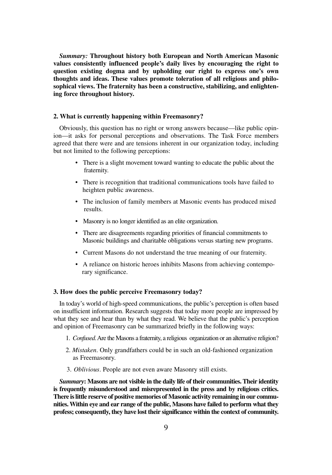*Summary:* **Throughout history both European and North American Masonic values consistently influenced people's daily lives by encouraging the right to question existing dogma and by upholding our right to express one's own thoughts and ideas. These values promote toleration of all religious and philosophical views. The fraternity has been a constructive, stabilizing, and enlightening force throughout history.**

#### **2. What is currently happening within Freemasonry?**

Obviously, this question has no right or wrong answers because—like public opinion—it asks for personal perceptions and observations. The Task Force members agreed that there were and are tensions inherent in our organization today, including but not limited to the following perceptions:

- There is a slight movement toward wanting to educate the public about the fraternity.
- There is recognition that traditional communications tools have failed to heighten public awareness.
- The inclusion of family members at Masonic events has produced mixed results.
- Masonry is no longer identified as an elite organization.
- There are disagreements regarding priorities of financial commitments to Masonic buildings and charitable obligations versus starting new programs.
- Current Masons do not understand the true meaning of our fraternity.
- A reliance on historic heroes inhibits Masons from achieving contemporary significance.

#### **3. How does the public perceive Freemasonry today?**

In today's world of high-speed communications, the public's perception is often based on insufficient information. Research suggests that today more people are impressed by what they see and hear than by what they read. We believe that the public's perception and opinion of Freemasonry can be summarized briefly in the following ways:

- 1. *Confused*. Are the Masons a fraternity, a religious organization or an alternative religion?
- 2. *Mistaken*. Only grandfathers could be in such an old-fashioned organization as Freemasonry.
- 3. *Oblivious*. People are not even aware Masonry still exists.

*Summary***: Masons are not visible in the daily life of their communities. Their identity is frequently misunderstood and misrepresented in the press and by religious critics. There is little reserve of positive memories of Masonic activity remaining in our communities. Within eye and ear range of the public, Masons have failed to perform what they profess; consequently, they have lost their significance within the context of community.**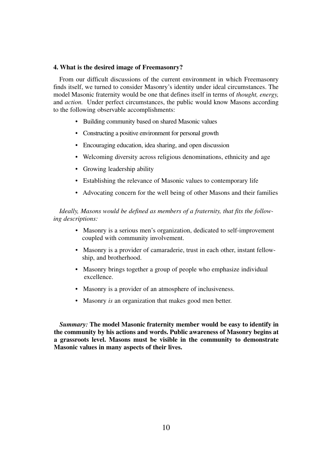#### **4. What is the desired image of Freemasonry?**

From our difficult discussions of the current environment in which Freemasonry finds itself, we turned to consider Masonry's identity under ideal circumstances. The model Masonic fraternity would be one that defines itself in terms of *thought, energy,* and *action.* Under perfect circumstances, the public would know Masons according to the following observable accomplishments:

- Building community based on shared Masonic values
- Constructing a positive environment for personal growth
- Encouraging education, idea sharing, and open discussion
- Welcoming diversity across religious denominations, ethnicity and age
- Growing leadership ability
- Establishing the relevance of Masonic values to contemporary life
- Advocating concern for the well being of other Masons and their families

#### *Ideally, Masons would be defined as members of a fraternity, that fits the following descriptions:*

- Masonry is a serious men's organization, dedicated to self-improvement coupled with community involvement.
- Masonry is a provider of camaraderie, trust in each other, instant fellowship, and brotherhood.
- Masonry brings together a group of people who emphasize individual excellence.
- Masonry is a provider of an atmosphere of inclusiveness.
- Masonry *is* an organization that makes good men better.

*Summary:* **The model Masonic fraternity member would be easy to identify in the community by his actions and words. Public awareness of Masonry begins at a grassroots level. Masons must be visible in the community to demonstrate Masonic values in many aspects of their lives.**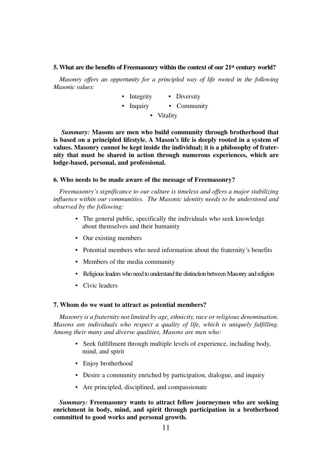#### **5. What are the benefits of Freemasonry within the context of our 21st century world?**

*Masonry offers an opportunity for a principled way of life rooted in the following Masonic values:*

- Integrity Diversity
- Inquiry Community
	- Vitality

*Summary:* **Masons are men who build community through brotherhood that is based on a principled lifestyle. A Mason's life is deeply rooted in a system of values. Masonry cannot be kept inside the individual; it is a philosophy of fraternity that must be shared in action through numerous experiences, which are lodge-based, personal, and professional.**

#### **6. Who needs to be made aware of the message of Freemasonry?**

*Freemasonry's significance to our culture is timeless and offers a major stabilizing influence within our communities. The Masonic identity needs to be understood and observed by the following:*

- The general public, specifically the individuals who seek knowledge about themselves and their humanity
- Our existing members
- Potential members who need information about the fraternity's benefits
- Members of the media community
- Religious leaders who need to understand the distinction between Masonry and religion
- Civic leaders

#### **7. Whom do we want to attract as potential members?**

*Masonry is a fraternity not limited by age, ethnicity, race or religious denomination. Masons are individuals who respect a quality of life, which is uniquely fulfilling. Among their many and diverse qualities, Masons are men who:*

- Seek fulfillment through multiple levels of experience, including body, mind, and spirit
- Enjoy brotherhood
- Desire a community enriched by participation, dialogue, and inquiry
- Are principled, disciplined, and compassionate

*Summary:* **Freemasonry wants to attract fellow journeymen who are seeking enrichment in body, mind, and spirit through participation in a brotherhood committed to good works and personal growth.**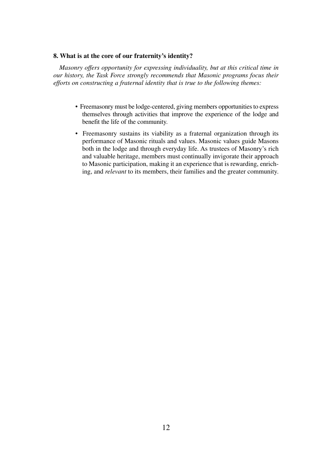#### **8. What is at the core of our fraternity's identity?**

*Masonry offers opportunity for expressing individuality, but at this critical time in our history, the Task Force strongly recommends that Masonic programs focus their efforts on constructing a fraternal identity that is true to the following themes:*

- Freemasonry must be lodge-centered, giving members opportunities to express themselves through activities that improve the experience of the lodge and benefit the life of the community.
- Freemasonry sustains its viability as a fraternal organization through its performance of Masonic rituals and values. Masonic values guide Masons both in the lodge and through everyday life. As trustees of Masonry's rich and valuable heritage, members must continually invigorate their approach to Masonic participation, making it an experience that is rewarding, enriching, and *relevant* to its members, their families and the greater community.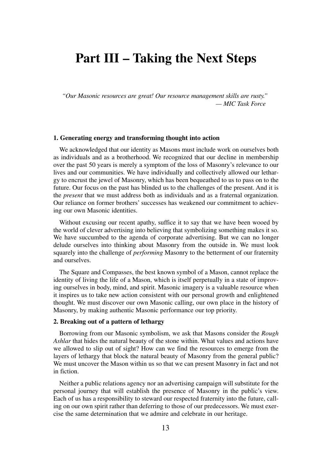# **Part III – Taking the Next Steps**

*"Our Masonic resources are great! Our resource management skills are rusty." — MIC Task Force* 

#### **1. Generating energy and transforming thought into action**

We acknowledged that our identity as Masons must include work on ourselves both as individuals and as a brotherhood. We recognized that our decline in membership over the past 50 years is merely a symptom of the loss of Masonry's relevance to our lives and our communities. We have individually and collectively allowed our lethargy to encrust the jewel of Masonry, which has been bequeathed to us to pass on to the future. Our focus on the past has blinded us to the challenges of the present. And it is the *present* that we must address both as individuals and as a fraternal organization. Our reliance on former brothers' successes has weakened our commitment to achieving our own Masonic identities.

Without excusing our recent apathy, suffice it to say that we have been wooed by the world of clever advertising into believing that symbolizing something makes it so. We have succumbed to the agenda of corporate advertising. But we can no longer delude ourselves into thinking about Masonry from the outside in. We must look squarely into the challenge of *performing* Masonry to the betterment of our fraternity and ourselves.

The Square and Compasses, the best known symbol of a Mason, cannot replace the identity of living the life of a Mason, which is itself perpetually in a state of improving ourselves in body, mind, and spirit. Masonic imagery is a valuable resource when it inspires us to take new action consistent with our personal growth and enlightened thought. We must discover our own Masonic calling, our own place in the history of Masonry, by making authentic Masonic performance our top priority.

#### **2. Breaking out of a pattern of lethargy**

Borrowing from our Masonic symbolism, we ask that Masons consider the *Rough Ashlar* that hides the natural beauty of the stone within. What values and actions have we allowed to slip out of sight? How can we find the resources to emerge from the layers of lethargy that block the natural beauty of Masonry from the general public? We must uncover the Mason within us so that we can present Masonry in fact and not in fiction.

Neither a public relations agency nor an advertising campaign will substitute for the personal journey that will establish the presence of Masonry in the public's view. Each of us has a responsibility to steward our respected fraternity into the future, calling on our own spirit rather than deferring to those of our predecessors. We must exercise the same determination that we admire and celebrate in our heritage.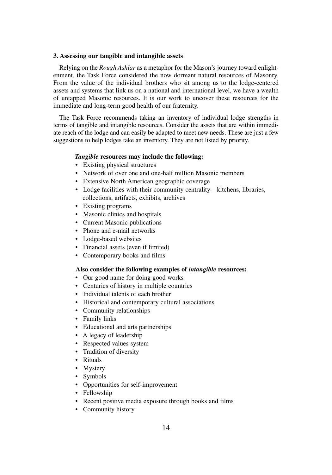#### **3. Assessing our tangible and intangible assets**

Relying on the *Rough Ashlar* as a metaphor for the Mason's journey toward enlightenment, the Task Force considered the now dormant natural resources of Masonry. From the value of the individual brothers who sit among us to the lodge-centered assets and systems that link us on a national and international level, we have a wealth of untapped Masonic resources. It is our work to uncover these resources for the immediate and long-term good health of our fraternity.

The Task Force recommends taking an inventory of individual lodge strengths in terms of tangible and intangible resources. Consider the assets that are within immediate reach of the lodge and can easily be adapted to meet new needs. These are just a few suggestions to help lodges take an inventory. They are not listed by priority.

#### *Tangible* **resources may include the following:**

- Existing physical structures
- Network of over one and one-half million Masonic members
- Extensive North American geographic coverage
- Lodge facilities with their community centrality—kitchens, libraries, collections, artifacts, exhibits, archives
- Existing programs
- Masonic clinics and hospitals
- Current Masonic publications
- Phone and e-mail networks
- Lodge-based websites
- Financial assets (even if limited)
- Contemporary books and films

#### **Also consider the following examples of** *intangible* **resources:**

- Our good name for doing good works
- Centuries of history in multiple countries
- Individual talents of each brother
- Historical and contemporary cultural associations
- Community relationships
- Family links
- Educational and arts partnerships
- A legacy of leadership
- Respected values system
- Tradition of diversity
- Rituals
- Mystery
- Symbols
- Opportunities for self-improvement
- Fellowship
- Recent positive media exposure through books and films
- Community history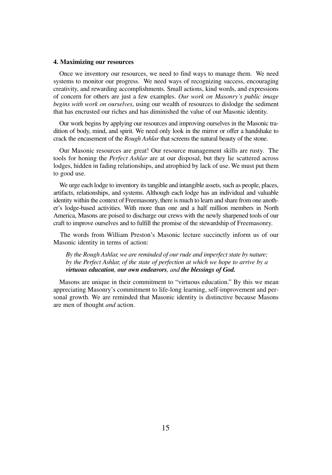#### **4. Maximizing our resources**

Once we inventory our resources, we need to find ways to manage them. We need systems to monitor our progress. We need ways of recognizing success, encouraging creativity, and rewarding accomplishments. Small actions, kind words, and expressions of concern for others are just a few examples. *Our work on Masonry's public image begins with work on ourselves*, using our wealth of resources to dislodge the sediment that has encrusted our riches and has diminished the value of our Masonic identity.

Our work begins by applying our resources and improving ourselves in the Masonic tradition of body, mind, and spirit. We need only look in the mirror or offer a handshake to crack the encasement of the *Rough Ashlar* that screens the natural beauty of the stone.

Our Masonic resources are great! Our resource management skills are rusty. The tools for honing the *Perfect Ashlar* are at our disposal, but they lie scattered across lodges, hidden in fading relationships, and atrophied by lack of use. We must put them to good use.

We urge each lodge to inventory its tangible and intangible assets, such as people, places, artifacts, relationships, and systems. Although each lodge has an individual and valuable identity within the context of Freemasonry, there is much to learn and share from one another's lodge-based activities. With more than one and a half million members in North America, Masons are poised to discharge our crews with the newly sharpened tools of our craft to improve ourselves and to fulfill the promise of the stewardship of Freemasonry.

The words from William Preston's Masonic lecture succinctly inform us of our Masonic identity in terms of action:

*By the Rough Ashlar, we are reminded of our rude and imperfect state by nature; by the Perfect Ashlar, of the state of perfection at which we hope to arrive by a virtuous education, our own endeavors, and the blessings of God.*

Masons are unique in their commitment to "virtuous education." By this we mean appreciating Masonry's commitment to life-long learning, self-improvement and personal growth. We are reminded that Masonic identity is distinctive because Masons are men of thought *and* action.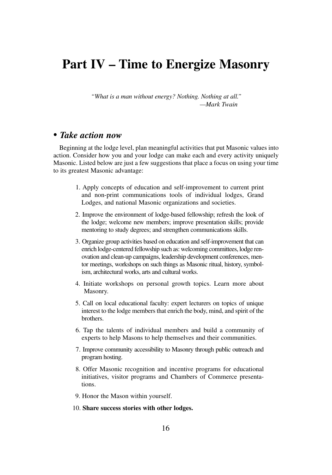# **Part IV – Time to Energize Masonry**

*"What is a man without energy? Nothing. Nothing at all." —Mark Twain*

### • *Take action now*

Beginning at the lodge level, plan meaningful activities that put Masonic values into action. Consider how you and your lodge can make each and every activity uniquely Masonic. Listed below are just a few suggestions that place a focus on using your time to its greatest Masonic advantage:

- 1. Apply concepts of education and self-improvement to current print and non-print communications tools of individual lodges, Grand Lodges, and national Masonic organizations and societies.
- 2. Improve the environment of lodge-based fellowship; refresh the look of the lodge; welcome new members; improve presentation skills; provide mentoring to study degrees; and strengthen communications skills.
- 3. Organize group activities based on education and self-improvement that can enrich lodge-centered fellowship such as: welcoming committees, lodge renovation and clean-up campaigns, leadership development conferences, mentor meetings, workshops on such things as Masonic ritual, history, symbolism, architectural works, arts and cultural works.
- 4. Initiate workshops on personal growth topics. Learn more about Masonry.
- 5. Call on local educational faculty: expert lecturers on topics of unique interest to the lodge members that enrich the body, mind, and spirit of the brothers.
- 6. Tap the talents of individual members and build a community of experts to help Masons to help themselves and their communities.
- 7. Improve community accessibility to Masonry through public outreach and program hosting.
- 8. Offer Masonic recognition and incentive programs for educational initiatives, visitor programs and Chambers of Commerce presentations.
- 9. Honor the Mason within yourself.
- 10. **Share success stories with other lodges.**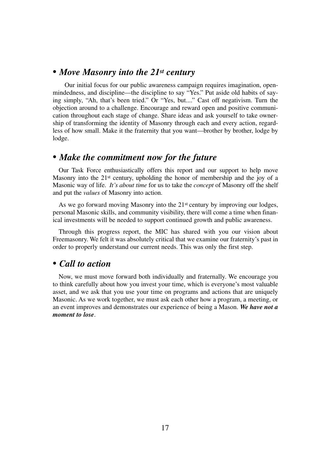## • *Move Masonry into the 21st century*

Our initial focus for our public awareness campaign requires imagination, openmindedness, and discipline—the discipline to say "Yes." Put aside old habits of saying simply, "Ah, that's been tried." Or "Yes, but...." Cast off negativism. Turn the objection around to a challenge. Encourage and reward open and positive communication throughout each stage of change. Share ideas and ask yourself to take ownership of transforming the identity of Masonry through each and every action, regardless of how small. Make it the fraternity that you want—brother by brother, lodge by lodge.

## • *Make the commitment now for the future*

Our Task Force enthusiastically offers this report and our support to help move Masonry into the  $21<sup>st</sup>$  century, upholding the honor of membership and the joy of a Masonic way of life. *It's about time* for us to take the *concept* of Masonry off the shelf and put the *values* of Masonry into action.

As we go forward moving Masonry into the 21<sup>st</sup> century by improving our lodges, personal Masonic skills, and community visibility, there will come a time when finanical investments will be needed to support continued growth and public awareness.

Through this progress report, the MIC has shared with you our vision about Freemasonry. We felt it was absolutely critical that we examine our fraternity's past in order to properly understand our current needs. This was only the first step.

## • *Call to action*

Now, we must move forward both individually and fraternally. We encourage you to think carefully about how you invest your time, which is everyone's most valuable asset, and we ask that you use your time on programs and actions that are uniquely Masonic. As we work together, we must ask each other how a program, a meeting, or an event improves and demonstrates our experience of being a Mason. *We have not a moment to lose*.